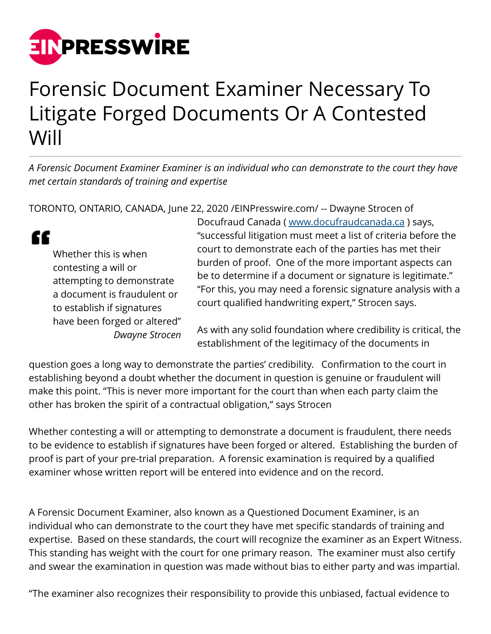

## Forensic Document Examiner Necessary To Litigate Forged Documents Or A Contested Will

*A Forensic Document Examiner Examiner is an individual who can demonstrate to the court they have met certain standards of training and expertise*

TORONTO, ONTARIO, CANADA, June 22, 2020 /[EINPresswire.com/](http://www.einpresswire.com) -- Dwayne Strocen of

" Whether this is when contesting a will or attempting to demonstrate a document is fraudulent or to establish if signatures have been forged or altered" *Dwayne Strocen*

Docufraud Canada ( [www.docufraudcanada.ca](https://www.docufraudcanada.ca) ) says, "successful litigation must meet a list of criteria before the court to demonstrate each of the parties has met their burden of proof. One of the more important aspects can be to determine if a document or signature is legitimate." "For this, you may need a forensic signature analysis with a court qualified handwriting expert," Strocen says.

As with any solid foundation where credibility is critical, the establishment of the legitimacy of the documents in

question goes a long way to demonstrate the parties' credibility. Confirmation to the court in establishing beyond a doubt whether the document in question is genuine or fraudulent will make this point. "This is never more important for the court than when each party claim the other has broken the spirit of a contractual obligation," says Strocen

Whether contesting a will or attempting to demonstrate a document is fraudulent, there needs to be evidence to establish if signatures have been forged or altered. Establishing the burden of proof is part of your pre-trial preparation. A forensic examination is required by a qualified examiner whose written report will be entered into evidence and on the record.

A Forensic Document Examiner, also known as a Questioned Document Examiner, is an individual who can demonstrate to the court they have met specific standards of training and expertise. Based on these standards, the court will recognize the examiner as an Expert Witness. This standing has weight with the court for one primary reason. The examiner must also certify and swear the examination in question was made without bias to either party and was impartial.

"The examiner also recognizes their responsibility to provide this unbiased, factual evidence to